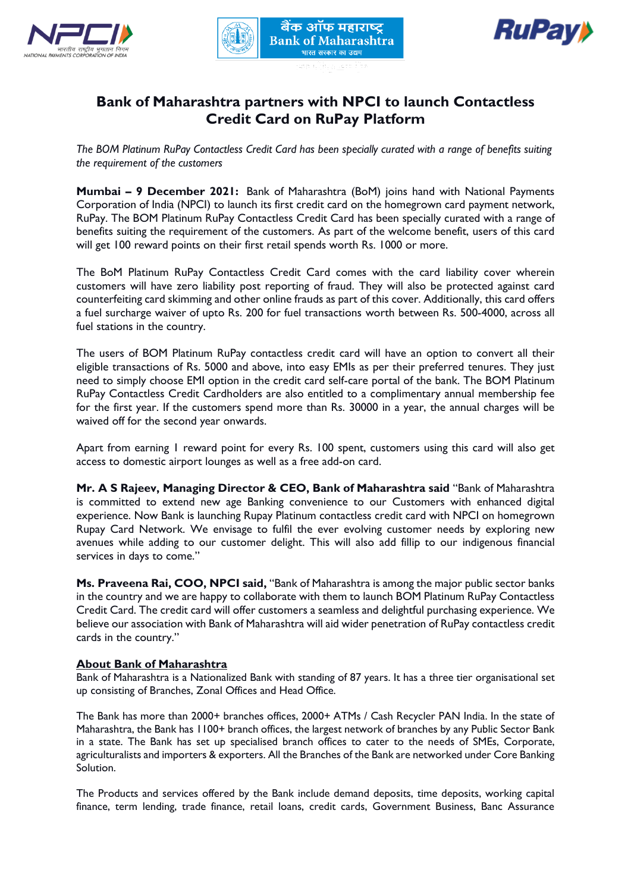





## **Bank of Maharashtra partners with NPCI to launch Contactless Credit Card on RuPay Platform**

*The BOM Platinum RuPay Contactless Credit Card has been specially curated with a range of benefits suiting the requirement of the customers*

**Mumbai – 9 December 2021:** Bank of Maharashtra (BoM) joins hand with National Payments Corporation of India (NPCI) to launch its first credit card on the homegrown card payment network, RuPay. The BOM Platinum RuPay Contactless Credit Card has been specially curated with a range of benefits suiting the requirement of the customers. As part of the welcome benefit, users of this card will get 100 reward points on their first retail spends worth Rs. 1000 or more.

The BoM Platinum RuPay Contactless Credit Card comes with the card liability cover wherein customers will have zero liability post reporting of fraud. They will also be protected against card counterfeiting card skimming and other online frauds as part of this cover. Additionally, this card offers a fuel surcharge waiver of upto Rs. 200 for fuel transactions worth between Rs. 500-4000, across all fuel stations in the country.

The users of BOM Platinum RuPay contactless credit card will have an option to convert all their eligible transactions of Rs. 5000 and above, into easy EMIs as per their preferred tenures. They just need to simply choose EMI option in the credit card self-care portal of the bank. The BOM Platinum RuPay Contactless Credit Cardholders are also entitled to a complimentary annual membership fee for the first year. If the customers spend more than Rs. 30000 in a year, the annual charges will be waived off for the second year onwards.

Apart from earning 1 reward point for every Rs. 100 spent, customers using this card will also get access to domestic airport lounges as well as a free add-on card.

**Mr. A S Rajeev, Managing Director & CEO, Bank of Maharashtra said** "Bank of Maharashtra is committed to extend new age Banking convenience to our Customers with enhanced digital experience. Now Bank is launching Rupay Platinum contactless credit card with NPCI on homegrown Rupay Card Network. We envisage to fulfil the ever evolving customer needs by exploring new avenues while adding to our customer delight. This will also add fillip to our indigenous financial services in days to come."

**Ms. Praveena Rai, COO, NPCI said,** "Bank of Maharashtra is among the major public sector banks in the country and we are happy to collaborate with them to launch BOM Platinum RuPay Contactless Credit Card. The credit card will offer customers a seamless and delightful purchasing experience. We believe our association with Bank of Maharashtra will aid wider penetration of RuPay contactless credit cards in the country."

## **About Bank of Maharashtra**

Bank of Maharashtra is a Nationalized Bank with standing of 87 years. It has a three tier organisational set up consisting of Branches, Zonal Offices and Head Office.

The Bank has more than 2000+ branches offices, 2000+ ATMs / Cash Recycler PAN India. In the state of Maharashtra, the Bank has 1100+ branch offices, the largest network of branches by any Public Sector Bank in a state. The Bank has set up specialised branch offices to cater to the needs of SMEs, Corporate, agriculturalists and importers & exporters. All the Branches of the Bank are networked under Core Banking Solution.

The Products and services offered by the Bank include demand deposits, time deposits, working capital finance, term lending, trade finance, retail loans, credit cards, Government Business, Banc Assurance